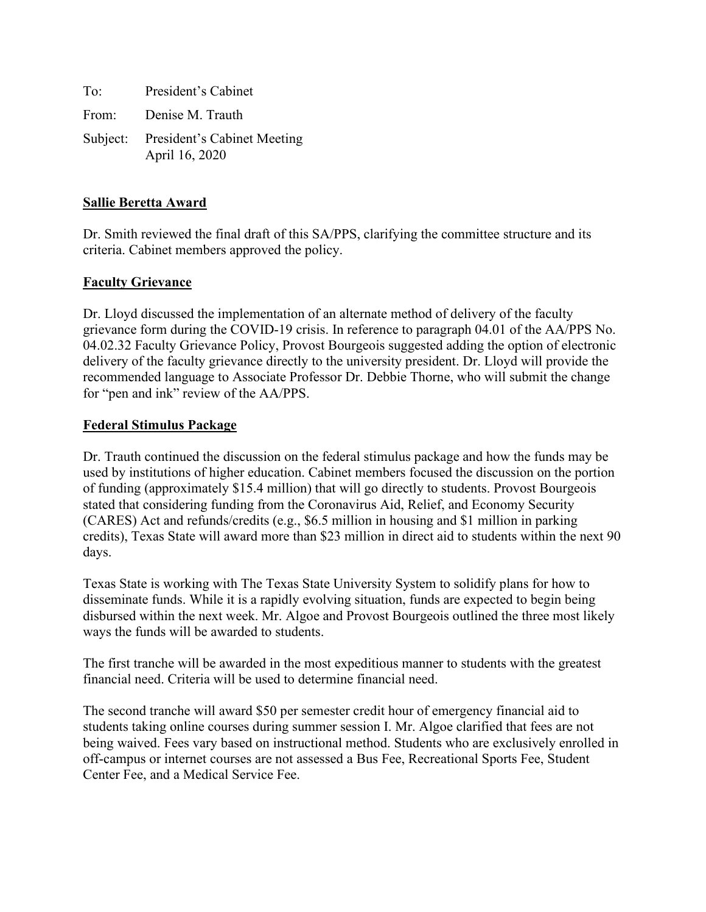To: President's Cabinet From: Denise M. Trauth Subject: President's Cabinet Meeting April 16, 2020

## **Sallie Beretta Award**

Dr. Smith reviewed the final draft of this SA/PPS, clarifying the committee structure and its criteria. Cabinet members approved the policy.

# **Faculty Grievance**

Dr. Lloyd discussed the implementation of an alternate method of delivery of the faculty grievance form during the COVID-19 crisis. In reference to paragraph 04.01 of the AA/PPS No. 04.02.32 Faculty Grievance Policy, Provost Bourgeois suggested adding the option of electronic delivery of the faculty grievance directly to the university president. Dr. Lloyd will provide the recommended language to Associate Professor Dr. Debbie Thorne, who will submit the change for "pen and ink" review of the AA/PPS.

## **Federal Stimulus Package**

Dr. Trauth continued the discussion on the federal stimulus package and how the funds may be used by institutions of higher education. Cabinet members focused the discussion on the portion of funding (approximately \$15.4 million) that will go directly to students. Provost Bourgeois stated that considering funding from the Coronavirus Aid, Relief, and Economy Security (CARES) Act and refunds/credits (e.g., \$6.5 million in housing and \$1 million in parking credits), Texas State will award more than \$23 million in direct aid to students within the next 90 days.

Texas State is working with The Texas State University System to solidify plans for how to disseminate funds. While it is a rapidly evolving situation, funds are expected to begin being disbursed within the next week. Mr. Algoe and Provost Bourgeois outlined the three most likely ways the funds will be awarded to students.

The first tranche will be awarded in the most expeditious manner to students with the greatest financial need. Criteria will be used to determine financial need.

The second tranche will award \$50 per semester credit hour of emergency financial aid to students taking online courses during summer session I. Mr. Algoe clarified that fees are not being waived. Fees vary based on instructional method. Students who are exclusively enrolled in off-campus or internet courses are not assessed a Bus Fee, Recreational Sports Fee, Student Center Fee, and a Medical Service Fee.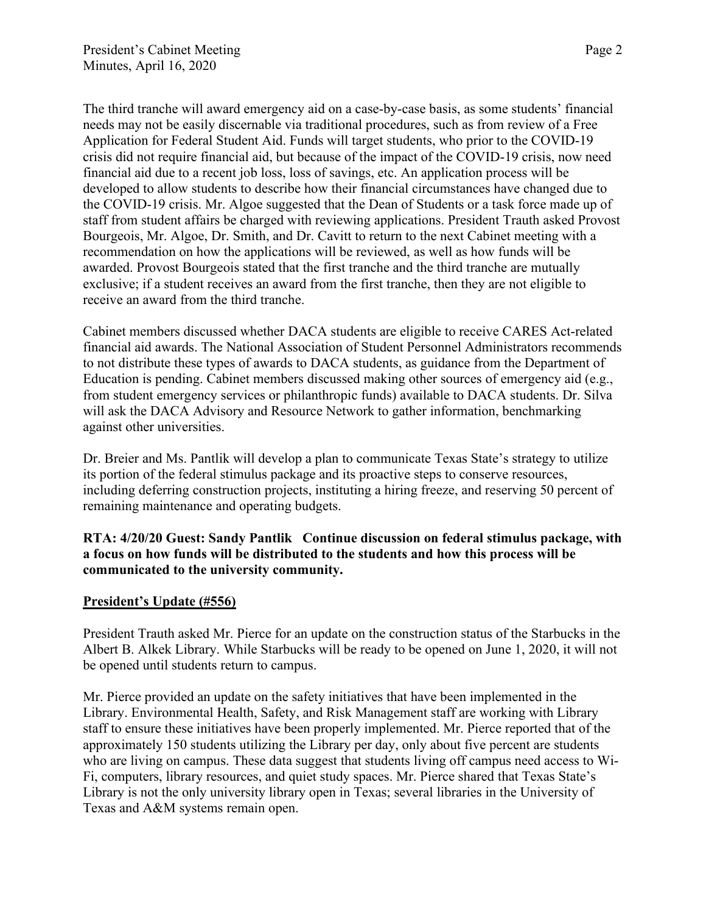The third tranche will award emergency aid on a case-by-case basis, as some students' financial needs may not be easily discernable via traditional procedures, such as from review of a Free Application for Federal Student Aid. Funds will target students, who prior to the COVID-19 crisis did not require financial aid, but because of the impact of the COVID-19 crisis, now need financial aid due to a recent job loss, loss of savings, etc. An application process will be developed to allow students to describe how their financial circumstances have changed due to the COVID-19 crisis. Mr. Algoe suggested that the Dean of Students or a task force made up of staff from student affairs be charged with reviewing applications. President Trauth asked Provost Bourgeois, Mr. Algoe, Dr. Smith, and Dr. Cavitt to return to the next Cabinet meeting with a recommendation on how the applications will be reviewed, as well as how funds will be awarded. Provost Bourgeois stated that the first tranche and the third tranche are mutually exclusive; if a student receives an award from the first tranche, then they are not eligible to receive an award from the third tranche.

Cabinet members discussed whether DACA students are eligible to receive CARES Act-related financial aid awards. The National Association of Student Personnel Administrators recommends to not distribute these types of awards to DACA students, as guidance from the Department of Education is pending. Cabinet members discussed making other sources of emergency aid (e.g., from student emergency services or philanthropic funds) available to DACA students. Dr. Silva will ask the DACA Advisory and Resource Network to gather information, benchmarking against other universities.

Dr. Breier and Ms. Pantlik will develop a plan to communicate Texas State's strategy to utilize its portion of the federal stimulus package and its proactive steps to conserve resources, including deferring construction projects, instituting a hiring freeze, and reserving 50 percent of remaining maintenance and operating budgets.

# **RTA: 4/20/20 Guest: Sandy Pantlik Continue discussion on federal stimulus package, with a focus on how funds will be distributed to the students and how this process will be communicated to the university community.**

# **President's Update (#556)**

President Trauth asked Mr. Pierce for an update on the construction status of the Starbucks in the Albert B. Alkek Library. While Starbucks will be ready to be opened on June 1, 2020, it will not be opened until students return to campus.

Mr. Pierce provided an update on the safety initiatives that have been implemented in the Library. Environmental Health, Safety, and Risk Management staff are working with Library staff to ensure these initiatives have been properly implemented. Mr. Pierce reported that of the approximately 150 students utilizing the Library per day, only about five percent are students who are living on campus. These data suggest that students living off campus need access to Wi-Fi, computers, library resources, and quiet study spaces. Mr. Pierce shared that Texas State's Library is not the only university library open in Texas; several libraries in the University of Texas and A&M systems remain open.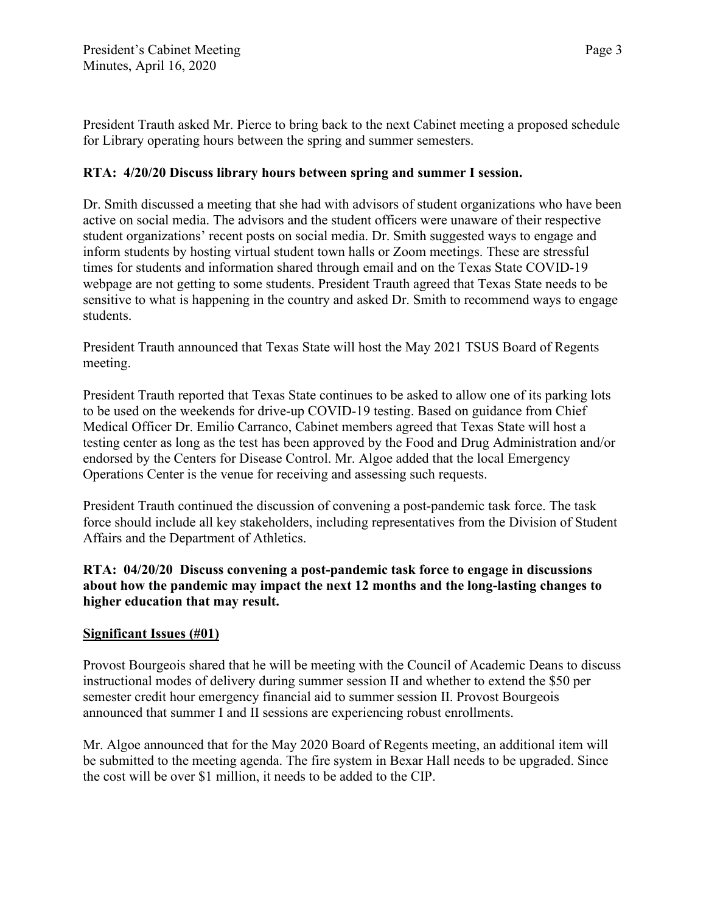President Trauth asked Mr. Pierce to bring back to the next Cabinet meeting a proposed schedule for Library operating hours between the spring and summer semesters.

# **RTA: 4/20/20 Discuss library hours between spring and summer I session.**

Dr. Smith discussed a meeting that she had with advisors of student organizations who have been active on social media. The advisors and the student officers were unaware of their respective student organizations' recent posts on social media. Dr. Smith suggested ways to engage and inform students by hosting virtual student town halls or Zoom meetings. These are stressful times for students and information shared through email and on the Texas State COVID-19 webpage are not getting to some students. President Trauth agreed that Texas State needs to be sensitive to what is happening in the country and asked Dr. Smith to recommend ways to engage students.

President Trauth announced that Texas State will host the May 2021 TSUS Board of Regents meeting.

President Trauth reported that Texas State continues to be asked to allow one of its parking lots to be used on the weekends for drive-up COVID-19 testing. Based on guidance from Chief Medical Officer Dr. Emilio Carranco, Cabinet members agreed that Texas State will host a testing center as long as the test has been approved by the Food and Drug Administration and/or endorsed by the Centers for Disease Control. Mr. Algoe added that the local Emergency Operations Center is the venue for receiving and assessing such requests.

President Trauth continued the discussion of convening a post-pandemic task force. The task force should include all key stakeholders, including representatives from the Division of Student Affairs and the Department of Athletics.

**RTA: 04/20/20 Discuss convening a post-pandemic task force to engage in discussions about how the pandemic may impact the next 12 months and the long-lasting changes to higher education that may result.**

# **Significant Issues (#01)**

Provost Bourgeois shared that he will be meeting with the Council of Academic Deans to discuss instructional modes of delivery during summer session II and whether to extend the \$50 per semester credit hour emergency financial aid to summer session II. Provost Bourgeois announced that summer I and II sessions are experiencing robust enrollments.

Mr. Algoe announced that for the May 2020 Board of Regents meeting, an additional item will be submitted to the meeting agenda. The fire system in Bexar Hall needs to be upgraded. Since the cost will be over \$1 million, it needs to be added to the CIP.